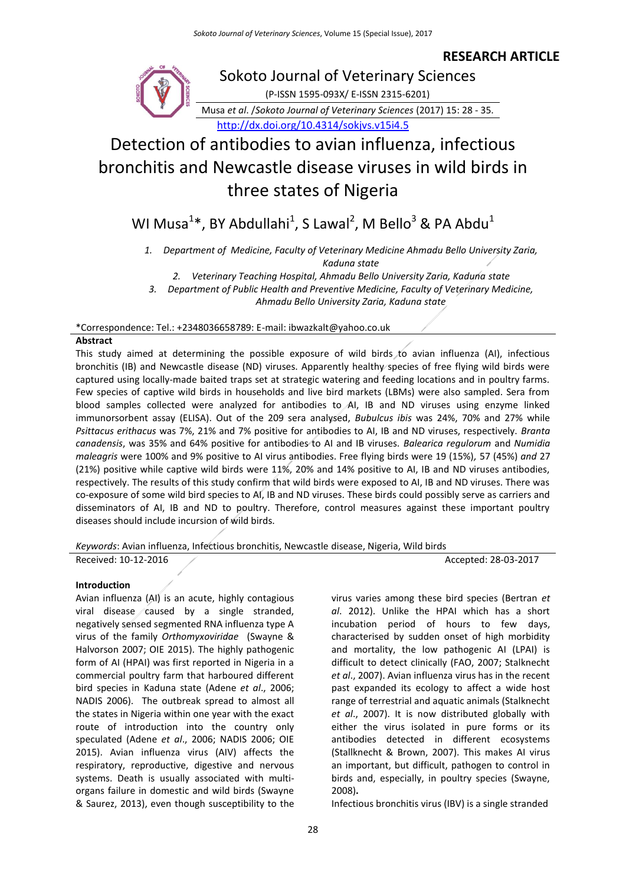## **RESEARCH ARTICLE**



# Detection of antibodies to avian influenza, infectious bronchitis and Newcastle disease viruses in wild birds in three states of Nigeria

WI Musa<sup>1</sup>\*, BY Abdullahi<sup>1</sup>, S Lawal<sup>2</sup>, M Bello<sup>3</sup> & PA Abdu<sup>1</sup>

*1. Department of Medicine, Faculty of Veterinary Medicine Ahmadu Bello University Zaria, Kaduna state*

*2. Veterinary Teaching Hospital, Ahmadu Bello University Zaria, Kaduna state*

*3. Department of Public Health and Preventive Medicine, Faculty of Veterinary Medicine, Ahmadu Bello University Zaria, Kaduna state*

\*Correspondence: Tel.: +2348036658789: E-mail: ibwazkalt@yahoo.co.uk

## **Abstract**

This study aimed at determining the possible exposure of wild birds to avian influenza (AI), infectious bronchitis (IB) and Newcastle disease (ND) viruses. Apparently healthy species of free flying wild birds were captured using locally-made baited traps set at strategic watering and feeding locations and in poultry farms. Few species of captive wild birds in households and live bird markets (LBMs) were also sampled. Sera from blood samples collected were analyzed for antibodies to AI, IB and ND viruses using enzyme linked immunorsorbent assay (ELISA). Out of the 209 sera analysed, *Bubulcus ibis* was 24%, 70% and 27% while *Psittacus erithacus* was 7%, 21% and 7% positive for antibodies to AI, IB and ND viruses, respectively. *Branta canadensis*, was 35% and 64% positive for antibodies to AI and IB viruses. *Balearica regulorum* and *Numidia maleagris* were 100% and 9% positive to AI virus antibodies. Free flying birds were 19 (15%)*,* 57 (45%) *and* 27 (21%) positive while captive wild birds were 11%, 20% and 14% positive to AI, IB and ND viruses antibodies, respectively. The results of this study confirm that wild birds were exposed to AI, IB and ND viruses. There was co-exposure of some wild bird species to AI, IB and ND viruses. These birds could possibly serve as carriers and disseminators of AI, IB and ND to poultry. Therefore, control measures against these important poultry diseases should include incursion of wild birds.

*Keywords*: Avian influenza, Infectious bronchitis, Newcastle disease, Nigeria, Wild birds Received: 10-12-2016 28-03-2017

#### **Introduction**

Avian influenza (AI) is an acute, highly contagious viral disease  $\sqrt{c}$  caused by a single stranded, negatively sensed segmented RNA influenza type A virus of the family *Orthomyxoviridae* (Swayne & Halvorson 2007; OIE 2015). The highly pathogenic form of AI (HPAI) was first reported in Nigeria in a commercial poultry farm that harboured different bird species in Kaduna state (Adene *et al*., 2006; NADIS 2006). The outbreak spread to almost all the states in Nigeria within one year with the exact route of introduction into the country only speculated (Adene *et al*., 2006; NADIS 2006; OIE 2015). Avian influenza virus (AIV) affects the respiratory, reproductive, digestive and nervous systems. Death is usually associated with multiorgans failure in domestic and wild birds (Swayne & Saurez, 2013), even though susceptibility to the

virus varies among these bird species (Bertran *et al*. 2012). Unlike the HPAI which has a short incubation period of hours to few days, characterised by sudden onset of high morbidity and mortality, the low pathogenic AI (LPAI) is difficult to detect clinically (FAO, 2007; Stalknecht *et al*., 2007). Avian influenza virus has in the recent past expanded its ecology to affect a wide host range of terrestrial and aquatic animals (Stalknecht *et al*., 2007). It is now distributed globally with either the virus isolated in pure forms or its antibodies detected in different ecosystems (Stallknecht & Brown, 2007). This makes AI virus an important, but difficult, pathogen to control in birds and, especially, in poultry species (Swayne, 2008)**.**

Infectious bronchitis virus (IBV) is a single stranded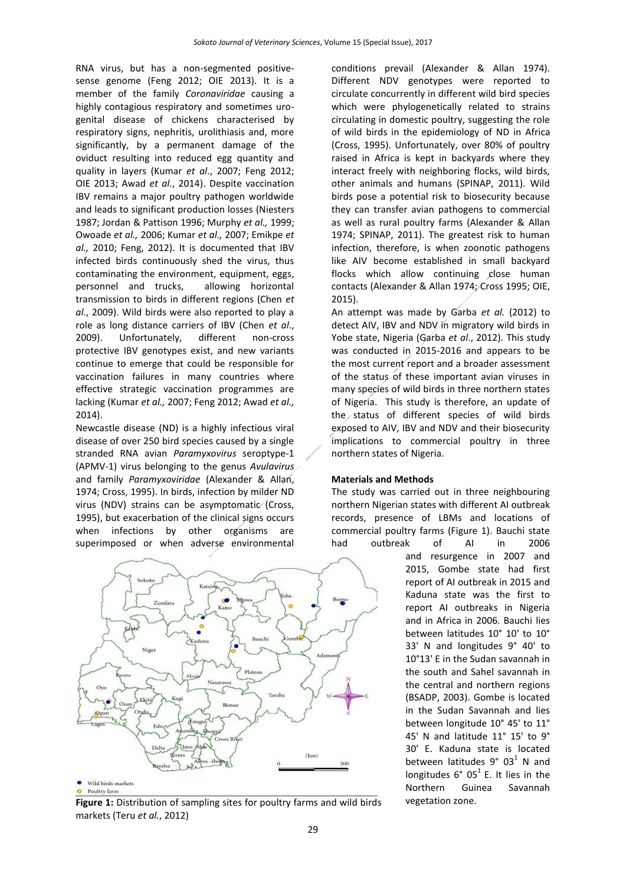RNA virus, but has a non-segmented positivesense genome (Feng 2012; OIE 2013). It is a member of the family *Coronaviridae* causing a highly contagious respiratory and sometimes urogenital disease of chickens characterised by respiratory signs, nephritis, urolithiasis and, more significantly, by a permanent damage of the oviduct resulting into reduced egg quantity and quality in layers (Kumar *et al*., 2007; Feng 2012; OIE 2013; Awad *et al.*, 2014). Despite vaccination IBV remains a major poultry pathogen worldwide and leads to significant production losses (Niesters 1987; Jordan & Pattison 1996; Murphy *et al.,* 1999; Owoade *et al.,* 2006; Kumar *et al.,* 2007; Emikpe *et al.,* 2010; Feng, 2012). It is documented that IBV infected birds continuously shed the virus, thus contaminating the environment, equipment, eggs, personnel and trucks, allowing horizontal transmission to birds in different regions (Chen *et al*., 2009). Wild birds were also reported to play a role as long distance carriers of IBV (Chen *et al*., 2009). Unfortunately, different non-cross protective IBV genotypes exist, and new variants continue to emerge that could be responsible for vaccination failures in many countries where effective strategic vaccination programmes are lacking (Kumar *et al.,* 2007; Feng 2012; Awad *et al.,* 2014).

Newcastle disease (ND) is a highly infectious viral disease of over 250 bird species caused by a single stranded RNA avian *Paramyxovirus* seroptype-1 (APMV-1) virus belonging to the genus *Avulavirus* and family *Paramyxoviridae* (Alexander & Allan, 1974; Cross, 1995). In birds, infection by milder ND virus (NDV) strains can be asymptomatic (Cross, 1995), but exacerbation of the clinical signs occurs when infections by other organisms are superimposed or when adverse environmental



**Figure 1:** Distribution of sampling sites for poultry farms and wild birds vegetation zone. markets (Teru *et al.*, 2012)

conditions prevail (Alexander & Allan 1974). Different NDV genotypes were reported to circulate concurrently in different wild bird species which were phylogenetically related to strains circulating in domestic poultry, suggesting the role of wild birds in the epidemiology of ND in Africa (Cross, 1995). Unfortunately, over 80% of poultry raised in Africa is kept in backyards where they interact freely with neighboring flocks, wild birds, other animals and humans (SPINAP, 2011). Wild birds pose a potential risk to biosecurity because they can transfer avian pathogens to commercial as well as rural poultry farms (Alexander & Allan 1974; SPINAP, 2011). The greatest risk to human infection, therefore, is when zoonotic pathogens like AIV become established in small backyard flocks which allow continuing close human contacts (Alexander & Allan 1974; Cross 1995; OIE, 2015).

An attempt was made by Garba *et al.* (2012) to detect AIV, IBV and NDV in migratory wild birds in Yobe state, Nigeria (Garba *et al*., 2012). This study was conducted in 2015-2016 and appears to be the most current report and a broader assessment of the status of these important avian viruses in many species of wild birds in three northern states of Nigeria. This study is therefore, an update of the status of different species of wild birds exposed to AIV, IBV and NDV and their biosecurity implications to commercial poultry in three northern states of Nigeria.

## **Materials and Methods**

The study was carried out in three neighbouring northern Nigerian states with different AI outbreak records, presence of LBMs and locations of commercial poultry farms (Figure 1). Bauchi state had outbreak of AI in 2006

and resurgence in 2007 and 2015, Gombe state had first report of AI outbreak in 2015 and Kaduna state was the first to report AI outbreaks in Nigeria and in Africa in 2006. Bauchi lies between latitudes 10° 10' to 10° 33' N and longitudes 9° 40' to 10°13' E in the Sudan savannah in the south and Sahel savannah in the central and northern regions (BSADP, 2003). Gombe is located in the Sudan Savannah and lies between longitude 10° 45' to 11° 45' N and latitude 11° 15' to 9° 30' E. Kaduna state is located between latitudes  $9^{\circ}$  03<sup>1</sup> N and longitudes  $6^{\circ}$  05<sup>1</sup> E. It lies in the Northern Guinea Savannah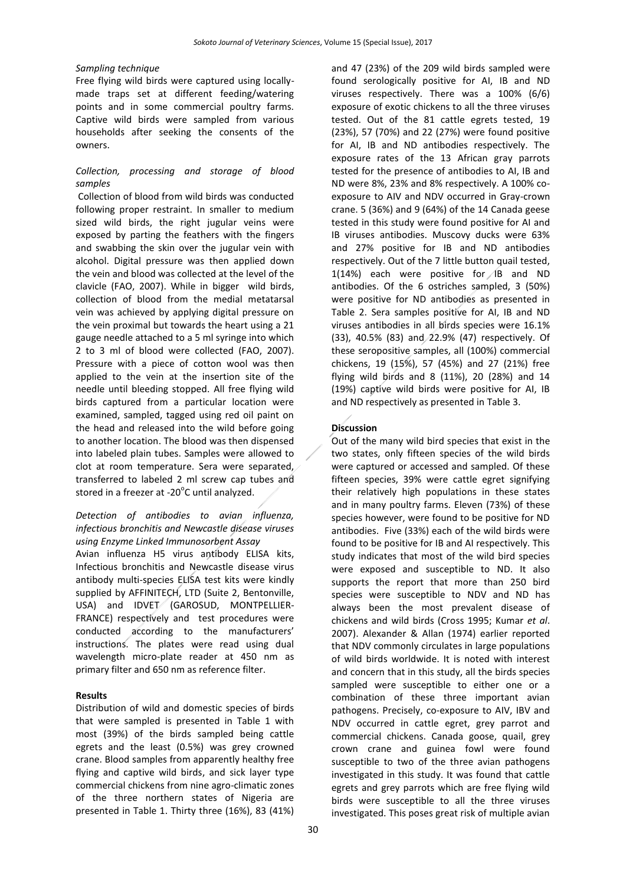#### *Sampling technique*

Free flying wild birds were captured using locallymade traps set at different feeding/watering points and in some commercial poultry farms. Captive wild birds were sampled from various households after seeking the consents of the owners.

## *Collection, processing and storage of blood samples*

Collection of blood from wild birds was conducted following proper restraint. In smaller to medium sized wild birds, the right jugular veins were exposed by parting the feathers with the fingers and swabbing the skin over the jugular vein with alcohol. Digital pressure was then applied down the vein and blood was collected at the level of the clavicle (FAO, 2007). While in bigger wild birds, collection of blood from the medial metatarsal vein was achieved by applying digital pressure on the vein proximal but towards the heart using a 21 gauge needle attached to a 5 ml syringe into which 2 to 3 ml of blood were collected (FAO, 2007). Pressure with a piece of cotton wool was then applied to the vein at the insertion site of the needle until bleeding stopped. All free flying wild birds captured from a particular location were examined, sampled, tagged using red oil paint on the head and released into the wild before going to another location. The blood was then dispensed into labeled plain tubes. Samples were allowed to clot at room temperature. Sera were separated, transferred to labeled 2 ml screw cap tubes and stored in a freezer at -20 $^{\circ}$ C until analyzed.

## *Detection of antibodies to avian influenza, infectious bronchitis and Newcastle disease viruses using Enzyme Linked Immunosorbent Assay*

Avian influenza H5 virus antibody ELISA kits, Infectious bronchitis and Newcastle disease virus antibody multi-species ELISA test kits were kindly supplied by AFFINITECH, LTD (Suite 2, Bentonville, USA) and IDVET (GAROSUD, MONTPELLIER-FRANCE) respectively and test procedures were conducted according to the manufacturers' instructions. The plates were read using dual wavelength micro-plate reader at 450 nm as primary filter and 650 nm as reference filter.

## **Results**

Distribution of wild and domestic species of birds that were sampled is presented in Table 1 with most (39%) of the birds sampled being cattle egrets and the least (0.5%) was grey crowned crane. Blood samples from apparently healthy free flying and captive wild birds, and sick layer type commercial chickens from nine agro-climatic zones of the three northern states of Nigeria are presented in Table 1. Thirty three (16%), 83 (41%) and 47 (23%) of the 209 wild birds sampled were found serologically positive for AI, IB and ND viruses respectively. There was a 100% (6/6) exposure of exotic chickens to all the three viruses tested. Out of the 81 cattle egrets tested, 19 (23%), 57 (70%) and 22 (27%) were found positive for AI, IB and ND antibodies respectively. The exposure rates of the 13 African gray parrots tested for the presence of antibodies to AI, IB and ND were 8%, 23% and 8% respectively. A 100% coexposure to AIV and NDV occurred in Gray-crown crane. 5 (36%) and 9 (64%) of the 14 Canada geese tested in this study were found positive for AI and IB viruses antibodies. Muscovy ducks were 63% and 27% positive for IB and ND antibodies respectively. Out of the 7 little button quail tested, 1(14%) each were positive for B and ND antibodies. Of the 6 ostriches sampled, 3 (50%) were positive for ND antibodies as presented in Table 2. Sera samples positive for AI, IB and ND viruses antibodies in all birds species were 16.1% (33), 40.5% (83) and 22.9% (47) respectively. Of these seropositive samples, all (100%) commercial chickens, 19 (15%), 57 (45%) and 27 (21%) free flying wild birds and 8 (11%), 20 (28%) and 14 (19%) captive wild birds were positive for AI, IB and ND respectively as presented in Table 3.

## **Discussion**

Out of the many wild bird species that exist in the two states, only fifteen species of the wild birds were captured or accessed and sampled. Of these fifteen species, 39% were cattle egret signifying their relatively high populations in these states and in many poultry farms. Eleven (73%) of these species however, were found to be positive for ND antibodies. Five (33%) each of the wild birds were found to be positive for IB and AI respectively. This study indicates that most of the wild bird species were exposed and susceptible to ND. It also supports the report that more than 250 bird species were susceptible to NDV and ND has always been the most prevalent disease of chickens and wild birds (Cross 1995; Kumar *et al*. 2007). Alexander & Allan (1974) earlier reported that NDV commonly circulates in large populations of wild birds worldwide. It is noted with interest and concern that in this study, all the birds species sampled were susceptible to either one or a combination of these three important avian pathogens. Precisely, co-exposure to AIV, IBV and NDV occurred in cattle egret, grey parrot and commercial chickens. Canada goose, quail, grey crown crane and guinea fowl were found susceptible to two of the three avian pathogens investigated in this study. It was found that cattle egrets and grey parrots which are free flying wild birds were susceptible to all the three viruses investigated. This poses great risk of multiple avian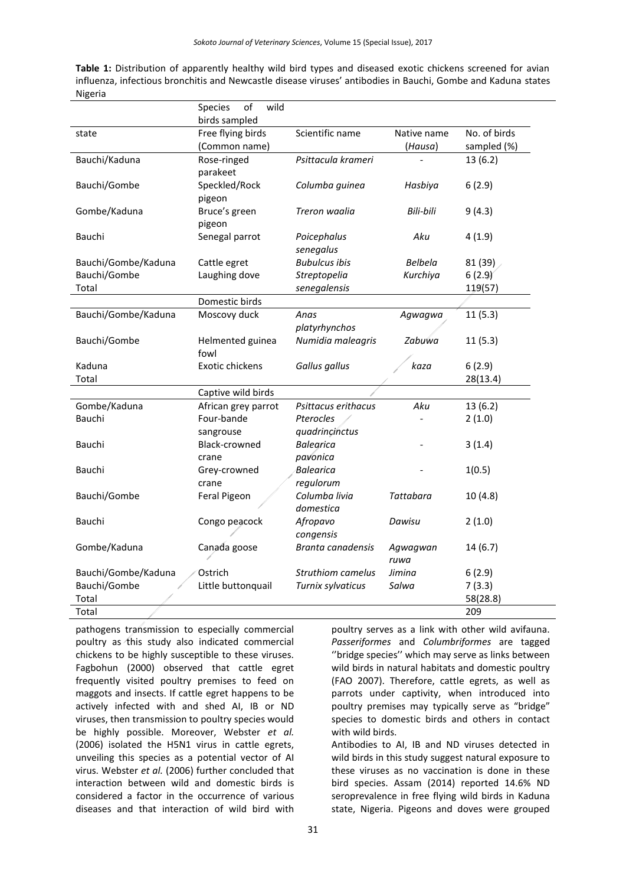| Table 1: Distribution of apparently healthy wild bird types and diseased exotic chickens screened for avian   |
|---------------------------------------------------------------------------------------------------------------|
| influenza, infectious bronchitis and Newcastle disease viruses' antibodies in Bauchi, Gombe and Kaduna states |
| Nigeria                                                                                                       |
| $\sim$ $\sim$ $\sim$ $\sim$ $\sim$ $\sim$                                                                     |

|                                     | <b>Species</b><br>ОT<br>wiiu               |                  |                    |
|-------------------------------------|--------------------------------------------|------------------|--------------------|
| birds sampled                       |                                            |                  |                    |
| state                               | Free flying birds<br>Scientific name       | Native name      | No. of birds       |
|                                     | (Common name)                              | (Hausa)          | sampled (%)        |
| Bauchi/Kaduna<br>Rose-ringed        | Psittacula krameri                         |                  | 13(6.2)            |
| parakeet                            |                                            |                  |                    |
| Bauchi/Gombe<br>Speckled/Rock       | Columba guinea                             | Hasbiya          | 6(2.9)             |
| pigeon                              |                                            |                  |                    |
| Gombe/Kaduna<br>Bruce's green       | Treron waalia                              | Bili-bili        | 9(4.3)             |
| pigeon                              |                                            |                  |                    |
| Senegal parrot<br>Bauchi            | Poicephalus                                | Aku              | 4(1.9)             |
|                                     | senegalus                                  |                  |                    |
| Bauchi/Gombe/Kaduna<br>Cattle egret | <b>Bubulcus ibis</b>                       | Belbela          | 81 (39)            |
| Bauchi/Gombe<br>Laughing dove       | Streptopelia                               | Kurchiya         | 6(2.9)             |
| Total                               | senegalensis                               |                  | 119(57)            |
| Domestic birds                      |                                            |                  |                    |
| Bauchi/Gombe/Kaduna<br>Moscovy duck | Anas                                       | Agwagwa          | 11(5.3)            |
|                                     | platyrhynchos                              |                  |                    |
| Bauchi/Gombe                        | Numidia maleagris<br>Helmented guinea      | Zabuwa           | 11(5.3)            |
| fowl                                |                                            |                  |                    |
| Exotic chickens<br>Kaduna           | Gallus gallus                              | kaza             | 6(2.9)             |
| Total                               |                                            |                  | 28(13.4)           |
|                                     | Captive wild birds                         |                  |                    |
| Gombe/Kaduna                        | African grey parrot<br>Psittacus erithacus | Aku              | 13(6.2)            |
| Bauchi<br>Four-bande                | Pterocles                                  |                  | 2(1.0)             |
| sangrouse                           | quadrincinctus                             |                  |                    |
| Black-crowned<br>Bauchi             | <b>Balearica</b>                           |                  | 3(1.4)             |
| crane                               | pavonica                                   |                  |                    |
| Bauchi<br>Grey-crowned              | <b>Balearica</b>                           |                  | 1(0.5)             |
| crane                               | regulorum                                  |                  |                    |
| Feral Pigeon<br>Bauchi/Gombe        | Columba livia                              | <b>Tattabara</b> | 10(4.8)            |
|                                     | domestica                                  |                  |                    |
| Bauchi<br>Congo peacock             | Afropavo                                   | Dawisu           | 2(1.0)             |
|                                     | congensis                                  |                  |                    |
| Gombe/Kaduna<br>Canada goose        | Branta canadensis                          | Agwagwan         | 14(6.7)            |
|                                     |                                            | ruwa             |                    |
| Bauchi/Gombe/Kaduna<br>Ostrich      | <b>Struthiom camelus</b>                   | Jimina           | 6(2.9)             |
|                                     |                                            |                  |                    |
|                                     |                                            |                  |                    |
| Bauchi/Gombe<br>Total               | Little buttonquail<br>Turnix sylvaticus    | Salwa            | 7(3.3)<br>58(28.8) |

pathogens transmission to especially commercial poultry as this study also indicated commercial chickens to be highly susceptible to these viruses. Fagbohun (2000) observed that cattle egret frequently visited poultry premises to feed on maggots and insects. If cattle egret happens to be actively infected with and shed AI, IB or ND viruses, then transmission to poultry species would be highly possible. Moreover, Webster *et al.* (2006) isolated the H5N1 virus in cattle egrets, unveiling this species as a potential vector of AI virus. Webster *et al.* (2006) further concluded that interaction between wild and domestic birds is considered a factor in the occurrence of various diseases and that interaction of wild bird with

poultry serves as a link with other wild avifauna. *Passeriformes* and *Columbriformes* are tagged ''bridge species'' which may serve as links between wild birds in natural habitats and domestic poultry (FAO 2007). Therefore, cattle egrets, as well as parrots under captivity, when introduced into poultry premises may typically serve as "bridge" species to domestic birds and others in contact with wild birds.

Antibodies to AI, IB and ND viruses detected in wild birds in this study suggest natural exposure to these viruses as no vaccination is done in these bird species. Assam (2014) reported 14.6% ND seroprevalence in free flying wild birds in Kaduna state, Nigeria. Pigeons and doves were grouped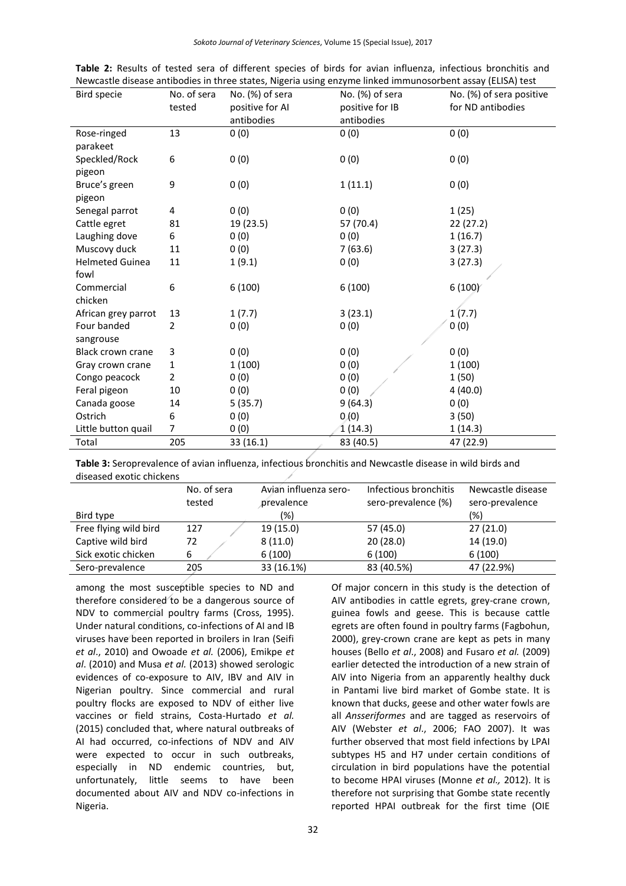*Sokoto Journal of Veterinary Sciences*, Volume 15 (Special Issue), 2017

| Bird specie            | No. of sera    | No. (%) of sera | ivewcastie disease armoulies in three states, ivigena using enzyme ilineu immunosorbent assay (LLISA) test<br>No. (%) of sera | No. (%) of sera positive |
|------------------------|----------------|-----------------|-------------------------------------------------------------------------------------------------------------------------------|--------------------------|
|                        | tested         | positive for AI | positive for IB                                                                                                               | for ND antibodies        |
|                        |                | antibodies      | antibodies                                                                                                                    |                          |
| Rose-ringed            | 13             | 0(0)            | 0(0)                                                                                                                          | 0(0)                     |
| parakeet               |                |                 |                                                                                                                               |                          |
| Speckled/Rock          | 6              | 0(0)            | 0(0)                                                                                                                          | 0(0)                     |
| pigeon                 |                |                 |                                                                                                                               |                          |
| Bruce's green          | 9              | 0(0)            | 1(11.1)                                                                                                                       | 0(0)                     |
| pigeon                 |                |                 |                                                                                                                               |                          |
| Senegal parrot         | 4              | 0(0)            | 0(0)                                                                                                                          | 1(25)                    |
| Cattle egret           | 81             | 19 (23.5)       | 57 (70.4)                                                                                                                     | 22 (27.2)                |
| Laughing dove          | 6              | 0(0)            | 0(0)                                                                                                                          | 1(16.7)                  |
| Muscovy duck           | 11             | 0(0)            | 7(63.6)                                                                                                                       | 3(27.3)                  |
| <b>Helmeted Guinea</b> | 11             | 1(9.1)          | 0(0)                                                                                                                          | 3(27.3)                  |
| fowl                   |                |                 |                                                                                                                               |                          |
| Commercial             | 6              | 6(100)          | 6(100)                                                                                                                        | 6(100)                   |
| chicken                |                |                 |                                                                                                                               |                          |
| African grey parrot    | 13             | 1(7.7)          | 3(23.1)                                                                                                                       | 1(7.7)                   |
| Four banded            | $\overline{2}$ | 0(0)            | 0(0)                                                                                                                          | 0(0)                     |
| sangrouse              |                |                 |                                                                                                                               |                          |
| Black crown crane      | 3              | 0(0)            | 0(0)                                                                                                                          | 0(0)                     |
| Gray crown crane       | 1              | 1(100)          | 0(0)                                                                                                                          | 1(100)                   |
| Congo peacock          | $\overline{2}$ | 0(0)            | 0(0)                                                                                                                          | 1(50)                    |
| Feral pigeon           | 10             | 0(0)            | 0(0)                                                                                                                          | 4(40.0)                  |
| Canada goose           | 14             | 5(35.7)         | 9(64.3)                                                                                                                       | 0(0)                     |
| Ostrich                | 6              | 0(0)            | 0(0)                                                                                                                          | 3(50)                    |
| Little button quail    | 7              | 0(0)            | 1(14.3)                                                                                                                       | 1(14.3)                  |
| Total                  | 205            | 33 (16.1)       | 83 (40.5)                                                                                                                     | 47 (22.9)                |

|  |  |  |  |  |  |  | Table 2: Results of tested sera of different species of birds for avian influenza, infectious bronchitis and |  |
|--|--|--|--|--|--|--|--------------------------------------------------------------------------------------------------------------|--|
|  |  |  |  |  |  |  | Newcastle disease antibodies in three states, Nigeria using enzyme linked immunosorbent assay (ELISA) test   |  |

**Table 3:** Seroprevalence of avian influenza, infectious bronchitis and Newcastle disease in wild birds and diseased exotic chickens

|                       | No. of sera<br>tested | Avian influenza sero-<br>prevalence | Infectious bronchitis<br>sero-prevalence (%) | Newcastle disease<br>sero-prevalence |
|-----------------------|-----------------------|-------------------------------------|----------------------------------------------|--------------------------------------|
| Bird type             |                       | (%)                                 |                                              | (%)                                  |
| Free flying wild bird | 127                   | 19 (15.0)                           | 57 (45.0)                                    | 27(21.0)                             |
| Captive wild bird     | 72                    | 8(11.0)                             | 20(28.0)                                     | 14 (19.0)                            |
| Sick exotic chicken   | 6                     | 6(100)                              | 6(100)                                       | 6(100)                               |
| Sero-prevalence       | 205                   | 33 (16.1%)                          | 83 (40.5%)                                   | 47 (22.9%)                           |
|                       |                       |                                     |                                              |                                      |

among the most susceptible species to ND and therefore considered to be a dangerous source of NDV to commercial poultry farms (Cross, 1995). Under natural conditions, co-infections of AI and IB viruses have been reported in broilers in Iran (Seifi *et al*., 2010) and Owoade *et al.* (2006), Emikpe *et al*. (2010) and Musa *et al.* (2013) showed serologic evidences of co-exposure to AIV, IBV and AIV in Nigerian poultry. Since commercial and rural poultry flocks are exposed to NDV of either live vaccines or field strains, Costa-Hurtado *et al.* (2015) concluded that, where natural outbreaks of AI had occurred, co-infections of NDV and AIV were expected to occur in such outbreaks, especially in ND endemic countries, but, unfortunately, little seems to have been documented about AIV and NDV co-infections in Nigeria.

Of major concern in this study is the detection of AIV antibodies in cattle egrets, grey-crane crown, guinea fowls and geese. This is because cattle egrets are often found in poultry farms (Fagbohun, 2000), grey-crown crane are kept as pets in many houses (Bello *et al*., 2008) and Fusaro *et al.* (2009) earlier detected the introduction of a new strain of AIV into Nigeria from an apparently healthy duck in Pantami live bird market of Gombe state. It is known that ducks, geese and other water fowls are all *Ansseriformes* and are tagged as reservoirs of AIV (Webster *et al*., 2006; FAO 2007). It was further observed that most field infections by LPAI subtypes H5 and H7 under certain conditions of circulation in bird populations have the potential to become HPAI viruses (Monne *et al.,* 2012). It is therefore not surprising that Gombe state recently reported HPAI outbreak for the first time (OIE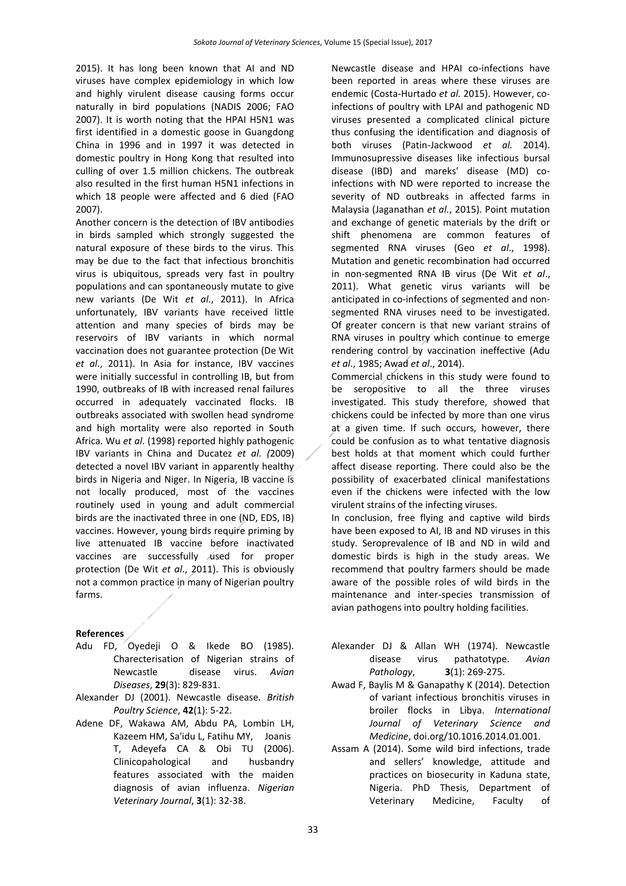2015). It has long been known that AI and ND viruses have complex epidemiology in which low and highly virulent disease causing forms occur naturally in bird populations (NADIS 2006; FAO 2007). It is worth noting that the HPAI H5N1 was first identified in a domestic goose in Guangdong China in 1996 and in 1997 it was detected in domestic poultry in Hong Kong that resulted into culling of over 1.5 million chickens. The outbreak also resulted in the first human H5N1 infections in which 18 people were affected and 6 died (FAO 2007).

Another concern is the detection of IBV antibodies in birds sampled which strongly suggested the natural exposure of these birds to the virus. This may be due to the fact that infectious bronchitis virus is ubiquitous, spreads very fast in poultry populations and can spontaneously mutate to give new variants (De Wit *et al*., 2011). In Africa unfortunately, IBV variants have received little attention and many species of birds may be reservoirs of IBV variants in which normal vaccination does not guarantee protection (De Wit *et al*., 2011). In Asia for instance, IBV vaccines were initially successful in controlling IB, but from 1990, outbreaks of IB with increased renal failures occurred in adequately vaccinated flocks. IB outbreaks associated with swollen head syndrome and high mortality were also reported in South Africa. Wu *et al*. (1998) reported highly pathogenic IBV variants in China and Ducatez *et al. (*2009) detected a novel IBV variant in apparently healthy birds in Nigeria and Niger. In Nigeria, IB vaccine is not locally produced, most of the vaccines routinely used in young and adult commercial birds are the inactivated three in one (ND, EDS, IB) vaccines. However, young birds require priming by live attenuated IB vaccine before inactivated vaccines are successfully used for proper protection (De Wit *et al*., 2011). This is obviously not a common practice in many of Nigerian poultry farms.

#### **References**

- Adu FD, Oyedeji O & Ikede BO (1985). Charecterisation of Nigerian strains of Newcastle disease virus. *Avian Diseases*, **29**(3): 829-831.
- Alexander DJ (2001). Newcastle disease*. British Poultry Science*, **42**(1): 5-22.
- Adene DF, Wakawa AM, Abdu PA, Lombin LH, Kazeem HM, Sa'idu L, Fatihu MY, Joanis T, Adeyefa CA & Obi TU (2006). Clinicopahological and husbandry features associated with the maiden diagnosis of avian influenza. *Nigerian Veterinary Journal*, **3**(1): 32-38.

Newcastle disease and HPAI co-infections have been reported in areas where these viruses are endemic (Costa-Hurtado *et al.* 2015). However, coinfections of poultry with LPAI and pathogenic ND viruses presented a complicated clinical picture thus confusing the identification and diagnosis of both viruses (Patin-Jackwood *et al.* 2014). Immunosupressive diseases like infectious bursal disease (IBD) and mareks' disease (MD) coinfections with ND were reported to increase the severity of ND outbreaks in affected farms in Malaysia (Jaganathan *et al.*, 2015). Point mutation and exchange of genetic materials by the drift or shift phenomena are common features of segmented RNA viruses (Geo *et al*., 1998). Mutation and genetic recombination had occurred in non-segmented RNA IB virus (De Wit *et al*., 2011). What genetic virus variants will be anticipated in co-infections of segmented and nonsegmented RNA viruses need to be investigated. Of greater concern is that new variant strains of RNA viruses in poultry which continue to emerge rendering control by vaccination ineffective (Adu *et al*., 1985; Awad *et al*., 2014).

Commercial chickens in this study were found to be seropositive to all the three viruses investigated. This study therefore, showed that chickens could be infected by more than one virus at a given time. If such occurs, however, there could be confusion as to what tentative diagnosis best holds at that moment which could further affect disease reporting. There could also be the possibility of exacerbated clinical manifestations even if the chickens were infected with the low virulent strains of the infecting viruses.

In conclusion, free flying and captive wild birds have been exposed to AI, IB and ND viruses in this study. Seroprevalence of IB and ND in wild and domestic birds is high in the study areas. We recommend that poultry farmers should be made aware of the possible roles of wild birds in the maintenance and inter-species transmission of avian pathogens into poultry holding facilities.

- Alexander DJ & Allan WH (1974). Newcastle disease virus pathatotype. *Avian Pathology*, **3**(1): 269-275.
- Awad F, Baylis M & Ganapathy K (2014). Detection of variant infectious bronchitis viruses in broiler flocks in Libya. *International Journal of Veterinary Science and Medicine*, doi.org/10.1016.2014.01.001.
- Assam A (2014). Some wild bird infections, trade and sellers' knowledge, attitude and practices on biosecurity in Kaduna state, Nigeria. PhD Thesis, Department of Veterinary Medicine, Faculty of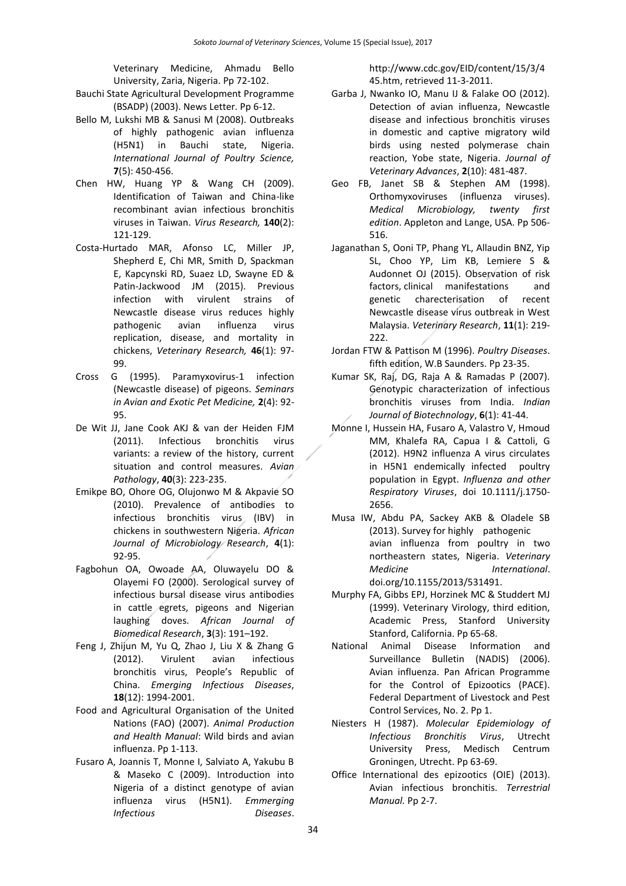Veterinary Medicine, Ahmadu Bello University, Zaria, Nigeria. Pp 72-102.

- Bauchi State Agricultural Development Programme (BSADP) (2003). News Letter. Pp 6-12.
- Bello M, Lukshi MB & Sanusi M (2008). Outbreaks of highly pathogenic avian influenza (H5N1) in Bauchi state, Nigeria. *International Journal of Poultry Science,* **7**(5): 450-456.
- Chen HW, Huang YP & Wang CH (2009). Identification of Taiwan and China-like recombinant avian infectious bronchitis viruses in Taiwan. *Virus Research,* **140**(2): 121-129.
- Costa-Hurtado MAR, Afonso LC, Miller JP, Shepherd E, Chi MR, Smith D, Spackman E, Kapcynski RD, Suaez LD, Swayne ED & Patin-Jackwood JM (2015). Previous infection with virulent strains of Newcastle disease virus reduces highly pathogenic avian influenza virus replication, disease, and mortality in chickens, *Veterinary Research,* **46**(1): 97- 99.
- Cross G (1995). Paramyxovirus-1 infection (Newcastle disease) of pigeons. *Seminars in Avian and Exotic Pet Medicine,* **2**(4): 92- 95.
- De Wit JJ, Jane Cook AKJ & van der Heiden FJM (2011). Infectious bronchitis virus variants: a review of the history, current situation and control measures. *Avian Pathology*, **40**(3): 223-235.
- Emikpe BO, Ohore OG, Olujonwo M & Akpavie SO (2010). Prevalence of antibodies to infectious bronchitis virus (IBV) in chickens in southwestern Nigeria. *African Journal of Microbiology Research*, **4**(1): 92-95.
- Fagbohun OA, Owoade AA, Oluwayelu DO & Olayemi FO (2000). [Serological survey of](http://www.bioline.org.br/request?md00053)  [infectious bursal disease virus antibodies](http://www.bioline.org.br/request?md00053)  [in cattle egrets, pigeons and Nigerian](http://www.bioline.org.br/request?md00053)  [laughing doves.](http://www.bioline.org.br/request?md00053) *[African Journal of](https://en.wikipedia.org/wiki/African_Journal_of_Biomedical_Research)  [Biomedical Research](https://en.wikipedia.org/wiki/African_Journal_of_Biomedical_Research)*, **3**(3): 191–192.
- Feng J, Zhijun M, Yu Q, Zhao J, Liu X & Zhang G (2012). Virulent avian infectious bronchitis virus, People's Republic of China. *Emerging Infectious Diseases*, **18**(12): 1994-2001.
- Food and Agricultural Organisation of the United Nations (FAO) (2007). *Animal Production and Health Manual*: Wild birds and avian influenza. Pp 1-113.
- Fusaro A, Joannis T, Monne I, Salviato A, Yakubu B & Maseko C (2009). Introduction into Nigeria of a distinct genotype of avian influenza virus (H5N1). *Emmerging Infectious Diseases*.

[http://www.cdc.gov/EID/content/15/3/4](http://www.cdc.gov/EID/content/15/3/445.htm,%20retrieved) [45.htm, retrieved](http://www.cdc.gov/EID/content/15/3/445.htm,%20retrieved) 11-3-2011.

- Garba J, Nwanko IO, Manu IJ & Falake OO (2012). Detection of avian influenza, Newcastle disease and infectious bronchitis viruses in domestic and captive migratory wild birds using nested polymerase chain reaction, Yobe state, Nigeria. *Journal of Veterinary Advances*, **2**(10): 481-487.
- Geo FB, Janet SB & Stephen AM (1998). Orthomyxoviruses (influenza viruses). *Medical Microbiology, twenty first edition*. Appleton and Lange, USA. Pp 506- 516.
- Jaganathan S, Ooni TP, Phang YL, Allaudin BNZ, Yip SL, Choo YP, Lim KB, Lemiere S & Audonnet OJ (2015). Observation of risk factors, clinical manifestations and genetic charecterisation of recent Newcastle disease virus outbreak in West Malaysia. *Veterinary Research*, **11**(1): 219- 222.
- Jordan FTW & Pattison M (1996). *Poultry Diseases*. fifth edition, W.B Saunders. Pp 23-35.
- Kumar SK, Raj, DG, Raja A & Ramadas P (2007). Genotypic characterization of infectious bronchitis viruses from India. *Indian Journal of Biotechnology*, **6**(1): 41-44.
- Monne I, Hussein HA, Fusaro A, Valastro V, Hmoud MM, Khalefa RA, Capua I & Cattoli, G (2012). H9N2 influenza A virus circulates in H5N1 endemically infected poultry population in Egypt. *Influenza and other Respiratory Viruses*, doi 10.1111/j.1750- 2656.
- Musa IW, Abdu PA, Sackey AKB & Oladele SB (2013). Survey for highly pathogenic avian influenza from poultry in two northeastern states, Nigeria. *Veterinary Medicine International*. [doi.org/10.1155/2013/531491.](http://dx.doi.org/10.1155/2013/531491)
- Murphy FA, Gibbs EPJ, Horzinek MC & Studdert MJ (1999). Veterinary Virology, third edition, Academic Press, Stanford University Stanford, California. Pp 65-68.
- National Animal Disease Information and Surveillance Bulletin (NADIS) (2006). Avian influenza. Pan African Programme for the Control of Epizootics (PACE). Federal Department of Livestock and Pest Control Services, No. 2. Pp 1.
- Niesters H (1987). *Molecular Epidemiology of Infectious Bronchitis Virus*, Utrecht University Press, Medisch Centrum Groningen, Utrecht. Pp 63-69.
- Office International des epizootics (OIE) (2013). Avian infectious bronchitis. *Terrestrial Manual.* Pp 2-7.